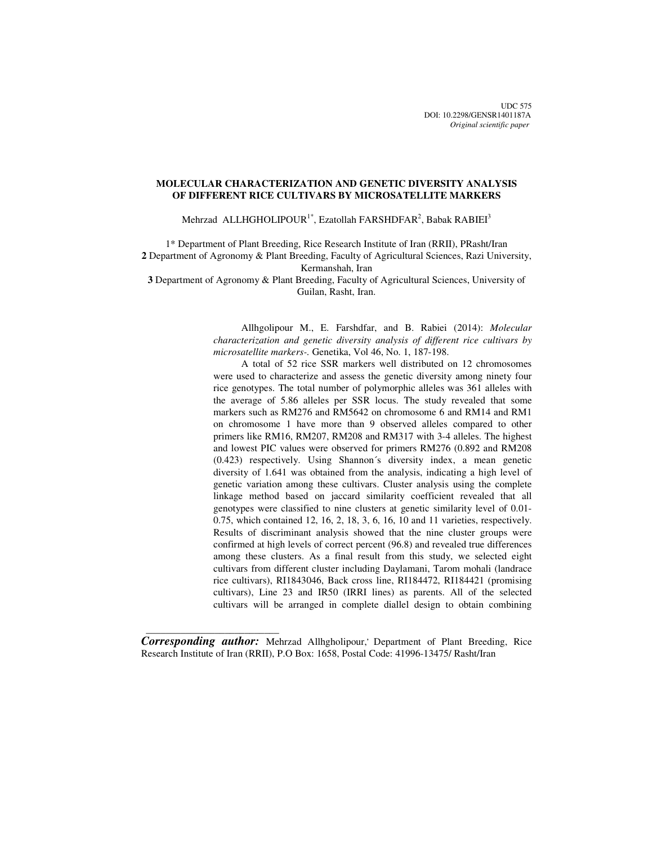UDC 575 DOI: 10.2298/GENSR1401187A *Original scientific paper*

# **MOLECULAR CHARACTERIZATION AND GENETIC DIVERSITY ANALYSIS OF DIFFERENT RICE CULTIVARS BY MICROSATELLITE MARKERS**

Mehrzad ALLHGHOLIPOUR<sup>1\*</sup>, Ezatollah FARSHDFAR<sup>2</sup>, Babak RABIEI<sup>3</sup>

1\* Department of Plant Breeding, Rice Research Institute of Iran (RRII), PRasht/Iran **2** Department of Agronomy & Plant Breeding, Faculty of Agricultural Sciences, Razi University,

Kermanshah, Iran

**3** Department of Agronomy & Plant Breeding, Faculty of Agricultural Sciences, University of Guilan, Rasht, Iran.

> Allhgolipour M., E. Farshdfar, and B. Rabiei (2014): *Molecular characterization and genetic diversity analysis of different rice cultivars by microsatellite markers-.* Genetika, Vol 46, No. 1, 187-198.

> A total of 52 rice SSR markers well distributed on 12 chromosomes were used to characterize and assess the genetic diversity among ninety four rice genotypes. The total number of polymorphic alleles was 361 alleles with the average of 5.86 alleles per SSR locus. The study revealed that some markers such as RM276 and RM5642 on chromosome 6 and RM14 and RM1 on chromosome 1 have more than 9 observed alleles compared to other primers like RM16, RM207, RM208 and RM317 with 3-4 alleles. The highest and lowest PIC values were observed for primers RM276 (0.892 and RM208 (0.423) respectively. Using Shannon´s diversity index, a mean genetic diversity of 1.641 was obtained from the analysis, indicating a high level of genetic variation among these cultivars. Cluster analysis using the complete linkage method based on jaccard similarity coefficient revealed that all genotypes were classified to nine clusters at genetic similarity level of 0.01- 0.75, which contained 12, 16, 2, 18, 3, 6, 16, 10 and 11 varieties, respectively. Results of discriminant analysis showed that the nine cluster groups were confirmed at high levels of correct percent (96.8) and revealed true differences among these clusters. As a final result from this study, we selected eight cultivars from different cluster including Daylamani, Tarom mohali (landrace rice cultivars), RI1843046, Back cross line, RI184472, RI184421 (promising cultivars), Line 23 and IR50 (IRRI lines) as parents. All of the selected cultivars will be arranged in complete diallel design to obtain combining

*Corresponding author:* Mehrzad Allhgholipour,**,** Department of Plant Breeding, Rice Research Institute of Iran (RRII), P.O Box: 1658, Postal Code: 41996-13475/ Rasht/Iran

 $\frac{1}{\sqrt{2\pi}}\left[\frac{1}{2(1-2\pi)^2}\left(1-\frac{1}{2(1-2\pi)^2}\left(1-\frac{1}{2(1-2\pi)^2}\right)\right)\right],$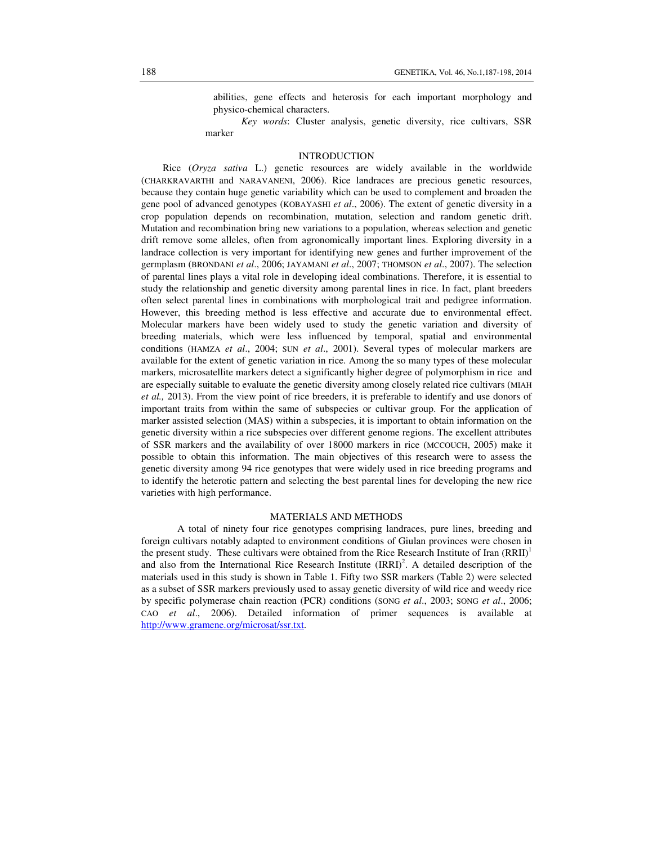abilities, gene effects and heterosis for each important morphology and physico-chemical characters.

*Key words*: Cluster analysis, genetic diversity, rice cultivars, SSR marker

## INTRODUCTION

Rice (*Oryza sativa* L.) genetic resources are widely available in the worldwide (CHARKRAVARTHI and NARAVANENI, 2006). Rice landraces are precious genetic resources, because they contain huge genetic variability which can be used to complement and broaden the gene pool of advanced genotypes (KOBAYASHI *et al*., 2006). The extent of genetic diversity in a crop population depends on recombination, mutation, selection and random genetic drift. Mutation and recombination bring new variations to a population, whereas selection and genetic drift remove some alleles, often from agronomically important lines. Exploring diversity in a landrace collection is very important for identifying new genes and further improvement of the germplasm (BRONDANI *et al*., 2006; JAYAMANI *et al*., 2007; THOMSON *et al*., 2007). The selection of parental lines plays a vital role in developing ideal combinations. Therefore, it is essential to study the relationship and genetic diversity among parental lines in rice. In fact, plant breeders often select parental lines in combinations with morphological trait and pedigree information. However, this breeding method is less effective and accurate due to environmental effect. Molecular markers have been widely used to study the genetic variation and diversity of breeding materials, which were less influenced by temporal, spatial and environmental conditions (HAMZA *et al*., 2004; SUN *et al*., 2001). Several types of molecular markers are available for the extent of genetic variation in rice. Among the so many types of these molecular markers, microsatellite markers detect a significantly higher degree of polymorphism in rice and are especially suitable to evaluate the genetic diversity among closely related rice cultivars (MIAH *et al.,* 2013). From the view point of rice breeders, it is preferable to identify and use donors of important traits from within the same of subspecies or cultivar group. For the application of marker assisted selection (MAS) within a subspecies, it is important to obtain information on the genetic diversity within a rice subspecies over different genome regions. The excellent attributes of SSR markers and the availability of over 18000 markers in rice (MCCOUCH, 2005) make it possible to obtain this information. The main objectives of this research were to assess the genetic diversity among 94 rice genotypes that were widely used in rice breeding programs and to identify the heterotic pattern and selecting the best parental lines for developing the new rice varieties with high performance.

#### MATERIALS AND METHODS

A total of ninety four rice genotypes comprising landraces, pure lines, breeding and foreign cultivars notably adapted to environment conditions of Giulan provinces were chosen in the present study. These cultivars were obtained from the Rice Research Institute of Iran  $(RRII)^{1}$ and also from the International Rice Research Institute  $\text{(IRRI)}^2$ . A detailed description of the materials used in this study is shown in Table 1. Fifty two SSR markers (Table 2) were selected as a subset of SSR markers previously used to assay genetic diversity of wild rice and weedy rice by specific polymerase chain reaction (PCR) conditions (SONG *et al*., 2003; SONG *et al*., 2006; CAO *et al*., 2006). Detailed information of primer sequences is available at http://www.gramene.org/microsat/ssr.txt.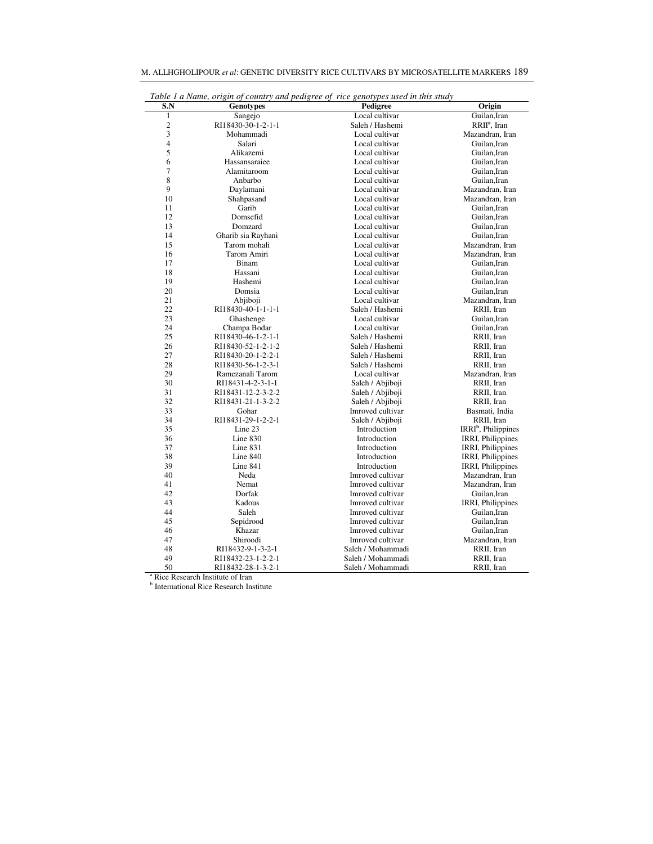| Table 1 a Name, origin of country and pedigree of rice genotypes used in this study |                    |                   |                                 |  |  |  |  |  |
|-------------------------------------------------------------------------------------|--------------------|-------------------|---------------------------------|--|--|--|--|--|
| S.N                                                                                 | <b>Genotypes</b>   | Pedigree          | Origin                          |  |  |  |  |  |
| $\mathbf{1}$                                                                        | Sangejo            | Local cultivar    | Guilan, Iran                    |  |  |  |  |  |
| $\overline{c}$                                                                      | RI18430-30-1-2-1-1 | Saleh / Hashemi   | RRII <sup>a</sup> , Iran        |  |  |  |  |  |
| 3                                                                                   | Mohammadi          | Local cultivar    | Mazandran, Iran                 |  |  |  |  |  |
| $\overline{4}$                                                                      | Salari             | Local cultivar    | Guilan.Iran                     |  |  |  |  |  |
| 5                                                                                   | Alikazemi          | Local cultivar    | Guilan.Iran                     |  |  |  |  |  |
| 6                                                                                   | Hassansaraiee      | Local cultivar    | Guilan, Iran                    |  |  |  |  |  |
| 7                                                                                   | Alamitaroom        | Local cultivar    | Guilan, Iran                    |  |  |  |  |  |
| 8                                                                                   | Anbarbo            | Local cultivar    | Guilan.Iran                     |  |  |  |  |  |
| 9                                                                                   | Daylamani          | Local cultivar    | Mazandran, Iran                 |  |  |  |  |  |
| 10                                                                                  | Shahpasand         | Local cultivar    | Mazandran, Iran                 |  |  |  |  |  |
| 11                                                                                  | Garib              | Local cultivar    | Guilan.Iran                     |  |  |  |  |  |
| 12                                                                                  | Domsefid           | Local cultivar    | Guilan.Iran                     |  |  |  |  |  |
| 13                                                                                  | Domzard            | Local cultivar    | Guilan.Iran                     |  |  |  |  |  |
| 14                                                                                  | Gharib sia Rayhani | Local cultivar    | Guilan, Iran                    |  |  |  |  |  |
| 15                                                                                  | Tarom mohali       | Local cultivar    | Mazandran, Iran                 |  |  |  |  |  |
| 16                                                                                  | Tarom Amiri        | Local cultivar    | Mazandran, Iran                 |  |  |  |  |  |
| 17                                                                                  | Binam              | Local cultivar    | Guilan, Iran                    |  |  |  |  |  |
| 18                                                                                  | Hassani            | Local cultivar    | Guilan, Iran                    |  |  |  |  |  |
| 19                                                                                  | Hashemi            | Local cultivar    | Guilan.Iran                     |  |  |  |  |  |
| 20                                                                                  | Domsia             | Local cultivar    | Guilan.Iran                     |  |  |  |  |  |
| 21                                                                                  | Abjiboji           | Local cultivar    | Mazandran, Iran                 |  |  |  |  |  |
| 22                                                                                  | RI18430-40-1-1-1-1 | Saleh / Hashemi   | RRII, Iran                      |  |  |  |  |  |
| 23                                                                                  | Ghashenge          | Local cultivar    | Guilan, Iran                    |  |  |  |  |  |
| 24                                                                                  | Champa Bodar       | Local cultivar    | Guilan, Iran                    |  |  |  |  |  |
| 25                                                                                  | RI18430-46-1-2-1-1 | Saleh / Hashemi   | RRII, Iran                      |  |  |  |  |  |
| 26                                                                                  | RI18430-52-1-2-1-2 | Saleh / Hashemi   | RRII, Iran                      |  |  |  |  |  |
| 27                                                                                  | RI18430-20-1-2-2-1 | Saleh / Hashemi   | RRII, Iran                      |  |  |  |  |  |
| 28                                                                                  | RI18430-56-1-2-3-1 | Saleh / Hashemi   | RRII, Iran                      |  |  |  |  |  |
| 29                                                                                  | Ramezanali Tarom   | Local cultivar    | Mazandran, Iran                 |  |  |  |  |  |
| 30                                                                                  | RI18431-4-2-3-1-1  | Saleh / Abjiboji  | RRII, Iran                      |  |  |  |  |  |
| 31                                                                                  | RI18431-12-2-3-2-2 | Saleh / Abjiboji  | RRII, Iran                      |  |  |  |  |  |
| 32                                                                                  | RI18431-21-1-3-2-2 | Saleh / Abjiboji  | RRII, Iran                      |  |  |  |  |  |
| 33                                                                                  | Gohar              | Imroved cultivar  | Basmati, India                  |  |  |  |  |  |
| 34                                                                                  | RI18431-29-1-2-2-1 | Saleh / Abjiboji  | RRII. Iran                      |  |  |  |  |  |
| 35                                                                                  | Line 23            | Introduction      | IRRI <sup>b</sup> , Philippines |  |  |  |  |  |
| 36                                                                                  | Line $830$         | Introduction      | IRRI, Philippines               |  |  |  |  |  |
| 37                                                                                  | Line $831$         | Introduction      | <b>IRRI</b> , Philippines       |  |  |  |  |  |
| 38                                                                                  | Line $840$         | Introduction      | IRRI, Philippines               |  |  |  |  |  |
| 39                                                                                  | Line 841           | Introduction      | IRRI, Philippines               |  |  |  |  |  |
| 40                                                                                  | Neda               | Imroved cultivar  | Mazandran, Iran                 |  |  |  |  |  |
| 41                                                                                  | Nemat              | Imroved cultivar  | Mazandran, Iran                 |  |  |  |  |  |
| 42                                                                                  | Dorfak             | Imroved cultivar  | Guilan.Iran                     |  |  |  |  |  |
| 43                                                                                  | Kadous             | Imroved cultivar  | <b>IRRI, Philippines</b>        |  |  |  |  |  |
| 44                                                                                  | Saleh              | Imroved cultivar  | Guilan, Iran                    |  |  |  |  |  |
| 45                                                                                  | Sepidrood          | Imroved cultivar  | Guilan, Iran                    |  |  |  |  |  |
| 46                                                                                  | Khazar             | Imroved cultivar  | Guilan.Iran                     |  |  |  |  |  |
| 47                                                                                  | Shiroodi           | Imroved cultivar  | Mazandran, Iran                 |  |  |  |  |  |
| 48                                                                                  | RI18432-9-1-3-2-1  | Saleh / Mohammadi | RRII, Iran                      |  |  |  |  |  |
| 49                                                                                  | RI18432-23-1-2-2-1 | Saleh / Mohammadi | RRII, Iran                      |  |  |  |  |  |
| 50                                                                                  | RI18432-28-1-3-2-1 | Saleh / Mohammadi | RRII, Iran                      |  |  |  |  |  |

| M. ALLHGHOLIPOUR et al: GENETIC DIVERSITY RICE CULTIVARS BY MICROSATELLITE MARKERS 189 |
|----------------------------------------------------------------------------------------|
|----------------------------------------------------------------------------------------|

<sup>a</sup> Rice Research Institute of Iran<br><sup>b</sup> International Rice Research Institute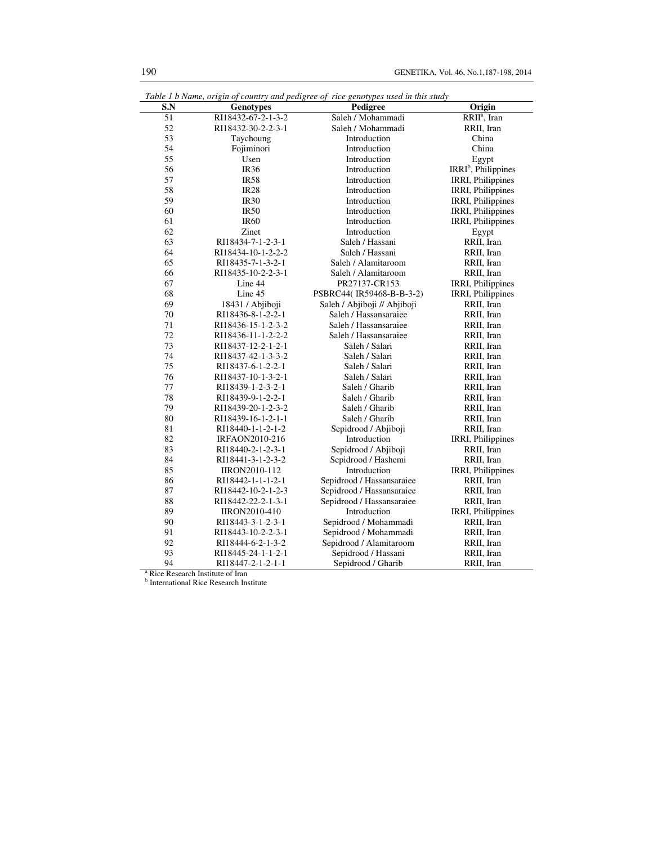| S.N             | <b>Genotypes</b>     | Pedigree                     | Origin                          |
|-----------------|----------------------|------------------------------|---------------------------------|
| $\overline{51}$ | RI18432-67-2-1-3-2   | Saleh / Mohammadi            | RRII <sup>a</sup> , Iran        |
| 52              | RI18432-30-2-2-3-1   | Saleh / Mohammadi            | RRII, Iran                      |
| 53              | Taychoung            | Introduction                 | China                           |
| 54              | Fojiminori           | Introduction                 | China                           |
| 55              | Usen                 | Introduction                 | Egypt                           |
| 56              | <b>IR36</b>          | Introduction                 | IRRI <sup>b</sup> , Philippines |
| 57              | <b>IR58</b>          | Introduction                 | IRRI, Philippines               |
| 58              | IR28                 | Introduction                 | IRRI, Philippines               |
| 59              | <b>IR30</b>          | Introduction                 | IRRI, Philippines               |
| 60              | <b>IR50</b>          | Introduction                 | IRRI, Philippines               |
| 61              | <b>IR60</b>          | Introduction                 | IRRI, Philippines               |
| 62              | Zinet                | Introduction                 | Egypt                           |
| 63              | RI18434-7-1-2-3-1    | Saleh / Hassani              | RRII, Iran                      |
| 64              | RI18434-10-1-2-2-2   | Saleh / Hassani              | RRII, Iran                      |
| 65              | RI18435-7-1-3-2-1    | Saleh / Alamitaroom          | RRII, Iran                      |
| 66              | RI18435-10-2-2-3-1   | Saleh / Alamitaroom          | RRII, Iran                      |
| 67              | Line 44              | PR27137-CR153                | IRRI, Philippines               |
| 68              | Line 45              | PSBRC44(IR59468-B-B-3-2)     | IRRI, Philippines               |
| 69              | 18431 / Abjiboji     | Saleh / Abjiboji // Abjiboji | RRII, Iran                      |
| 70              | RI18436-8-1-2-2-1    | Saleh / Hassansaraiee        | RRII, Iran                      |
| 71              | RI18436-15-1-2-3-2   | Saleh / Hassansaraiee        | RRII, Iran                      |
| 72              | RI18436-11-1-2-2-2   | Saleh / Hassansaraiee        | RRII, Iran                      |
| 73              | RI18437-12-2-1-2-1   | Saleh / Salari               | RRII, Iran                      |
| 74              | RI18437-42-1-3-3-2   | Saleh / Salari               | RRII, Iran                      |
| 75              | RI18437-6-1-2-2-1    | Saleh / Salari               | RRII, Iran                      |
| 76              | RI18437-10-1-3-2-1   | Saleh / Salari               | RRII, Iran                      |
| 77              | RI18439-1-2-3-2-1    | Saleh / Gharib               | RRII, Iran                      |
| 78              | RI18439-9-1-2-2-1    | Saleh / Gharib               | RRII, Iran                      |
| 79              | RI18439-20-1-2-3-2   | Saleh / Gharib               | RRII, Iran                      |
| 80              | RI18439-16-1-2-1-1   | Saleh / Gharib               | RRII, Iran                      |
| 81              | RI18440-1-1-2-1-2    | Sepidrood / Abjiboji         | RRII, Iran                      |
| 82              | IRFAON2010-216       | Introduction                 | IRRI, Philippines               |
| 83              | RI18440-2-1-2-3-1    | Sepidrood / Abjiboji         | RRII, Iran                      |
| 84              | RI18441-3-1-2-3-2    | Sepidrood / Hashemi          | RRII, Iran                      |
| 85              | <b>IIRON2010-112</b> | Introduction                 | <b>IRRI, Philippines</b>        |
| 86              | RI18442-1-1-1-2-1    | Sepidrood / Hassansaraiee    | RRII, Iran                      |
| 87              | RI18442-10-2-1-2-3   | Sepidrood / Hassansaraiee    | RRII, Iran                      |
| 88              | RI18442-22-2-1-3-1   | Sepidrood / Hassansaraiee    | RRII, Iran                      |
| 89              | <b>IIRON2010-410</b> | Introduction                 | IRRI, Philippines               |
| 90              | RI18443-3-1-2-3-1    | Sepidrood / Mohammadi        | RRII, Iran                      |
| 91              | RI18443-10-2-2-3-1   | Sepidrood / Mohammadi        | RRII, Iran                      |
| 92              | RI18444-6-2-1-3-2    | Sepidrood / Alamitaroom      | RRII, Iran                      |
| 93              | RI18445-24-1-1-2-1   | Sepidrood / Hassani          | RRII, Iran                      |
| 94              | RI18447-2-1-2-1-1    | Sepidrood / Gharib           | RRII, Iran                      |

|  | Table 1 b Name, origin of country and pedigree of rice genotypes used in this study |
|--|-------------------------------------------------------------------------------------|
|  |                                                                                     |

<sup>a</sup> Rice Research Institute of Iran<br><sup>b</sup> International Rice Research Institute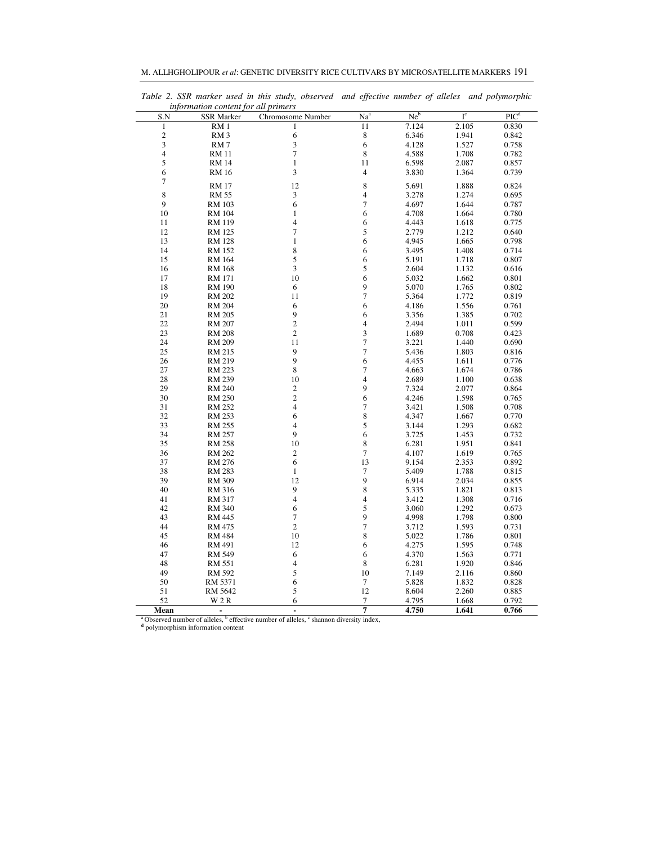| M. ALLHGHOLIPOUR <i>et al</i> : GENETIC DIVERSITY RICE CULTIVARS BY MICROSATELLITE MARKERS 191 |
|------------------------------------------------------------------------------------------------|
|------------------------------------------------------------------------------------------------|

| information content for all primers |                   |                          |                          |                 |                         |                    |  |  |  |
|-------------------------------------|-------------------|--------------------------|--------------------------|-----------------|-------------------------|--------------------|--|--|--|
| S.N                                 | <b>SSR Marker</b> | Chromosome Number        | Na <sup>a</sup>          | Ne <sup>b</sup> | $\mathbf{I}^\mathrm{c}$ | $\overline{PIC}^d$ |  |  |  |
| $\,1\,$                             | RM <sub>1</sub>   | $\mathbf{1}$             | 11                       | 7.124           | 2.105                   | 0.830              |  |  |  |
|                                     | RM <sub>3</sub>   | 6                        | 8                        | 6.346           | 1.941                   | 0.842              |  |  |  |
| $\frac{2}{3}$                       | RM <sub>7</sub>   |                          | 6                        | 4.128           | 1.527                   | 0.758              |  |  |  |
| $\overline{4}$                      | <b>RM</b> 11      | $\frac{3}{7}$            | 8                        | 4.588           | 1.708                   | 0.782              |  |  |  |
| 5                                   | <b>RM 14</b>      | $\,1\,$                  | 11                       | 6.598           | 2.087                   | 0.857              |  |  |  |
| 6                                   | <b>RM</b> 16      | 3                        | $\overline{\mathcal{L}}$ | 3.830           | 1.364                   | 0.739              |  |  |  |
| $\boldsymbol{7}$                    |                   |                          |                          |                 |                         |                    |  |  |  |
|                                     | <b>RM 17</b>      | 12                       | 8                        | 5.691           | 1.888                   | 0.824              |  |  |  |
| 8                                   | <b>RM 55</b>      | 3                        | 4                        | 3.278           | 1.274                   | 0.695              |  |  |  |
| 9                                   | RM 103            | 6                        | $\overline{7}$           | 4.697           | 1.644                   | 0.787              |  |  |  |
| 10                                  | <b>RM 104</b>     | $\mathbf{1}$             | 6                        | 4.708           | 1.664                   | 0.780              |  |  |  |
| 11                                  | RM 119            | $\overline{4}$           | 6                        | 4.443           | 1.618                   | 0.775              |  |  |  |
| 12                                  | <b>RM 125</b>     | $\overline{7}$           | 5                        | 2.779           | 1.212                   | 0.640              |  |  |  |
| 13                                  | RM 128            | $\mathbf{1}$             | 6                        | 4.945           | 1.665                   | 0.798              |  |  |  |
| 14                                  | RM 152            | 8                        | 6                        | 3.495           | 1.408                   | 0.714              |  |  |  |
| 15                                  | <b>RM</b> 164     | 5                        | 6                        | 5.191           | 1.718                   | 0.807              |  |  |  |
| 16                                  | RM 168            | 3                        | 5                        | 2.604           | 1.132                   | 0.616              |  |  |  |
| 17                                  | <b>RM 171</b>     | 10                       | 6                        | 5.032           | 1.662                   | 0.801              |  |  |  |
| 18                                  | <b>RM 190</b>     | 6                        | 9                        | 5.070           | 1.765                   | 0.802              |  |  |  |
| 19                                  | <b>RM 202</b>     | 11                       | $\overline{7}$           | 5.364           | 1.772                   | 0.819              |  |  |  |
| 20                                  | <b>RM 204</b>     | 6                        | 6                        | 4.186           | 1.556                   | 0.761              |  |  |  |
| 21                                  | <b>RM 205</b>     | 9                        | 6                        | 3.356           | 1.385                   | 0.702              |  |  |  |
| 22                                  | <b>RM 207</b>     | $\overline{c}$           | 4                        | 2.494           | 1.011                   | 0.599              |  |  |  |
| 23                                  | <b>RM 208</b>     | $\overline{\mathbf{c}}$  | 3                        | 1.689           | 0.708                   | 0.423              |  |  |  |
| 24                                  | <b>RM 209</b>     | 11                       | $\overline{7}$           | 3.221           | 1.440                   | 0.690              |  |  |  |
| 25                                  | RM 215            | 9                        | $\overline{7}$           | 5.436           | 1.803                   | 0.816              |  |  |  |
| 26                                  | RM 219            | 9                        | 6                        | 4.455           | 1.611                   | 0.776              |  |  |  |
| 27                                  | RM 223            | 8                        | $\boldsymbol{7}$         | 4.663           | 1.674                   | 0.786              |  |  |  |
| 28                                  | RM 239            | 10                       | $\overline{4}$           | 2.689           | 1.100                   | 0.638              |  |  |  |
| 29                                  | <b>RM 240</b>     | $\overline{\mathbf{c}}$  | 9                        | 7.324           | 2.077                   | 0.864              |  |  |  |
| 30                                  | <b>RM 250</b>     | $\overline{\mathbf{c}}$  | 6                        | 4.246           | 1.598                   | 0.765              |  |  |  |
| 31                                  | RM 252            | 4                        | $\boldsymbol{7}$         | 3.421           | 1.508                   | 0.708              |  |  |  |
| 32                                  | RM 253            | 6                        | 8                        | 4.347           | 1.667                   | 0.770              |  |  |  |
| 33                                  | RM 255            | 4                        | 5                        | 3.144           | 1.293                   | 0.682              |  |  |  |
| 34                                  | RM 257            | 9                        | 6                        | 3.725           | 1.453                   | 0.732              |  |  |  |
| 35                                  | <b>RM 258</b>     | 10                       | 8                        | 6.281           | 1.951                   | 0.841              |  |  |  |
| 36                                  | RM 262            | $\boldsymbol{2}$         | $\overline{7}$           | 4.107           | 1.619                   | 0.765              |  |  |  |
| 37                                  | <b>RM 276</b>     | 6                        | 13                       | 9.154           | 2.353                   | 0.892              |  |  |  |
| 38                                  | RM 283            | $\mathbf{1}$             | $\boldsymbol{7}$         | 5.409           | 1.788                   | 0.815              |  |  |  |
| 39                                  | RM 309            | 12                       | 9                        | 6.914           | 2.034                   | 0.855              |  |  |  |
| 40                                  | RM 316            | 9                        | 8                        | 5.335           | 1.821                   | 0.813              |  |  |  |
| 41                                  | RM 317            | $\overline{\mathcal{L}}$ | 4                        | 3.412           | 1.308                   | 0.716              |  |  |  |
| 42                                  | RM 340            | 6                        | 5                        | 3.060           | 1.292                   | 0.673              |  |  |  |
| 43                                  | RM 445            | $\boldsymbol{7}$         | 9                        | 4.998           | 1.798                   | 0.800              |  |  |  |
| 44                                  | RM 475            | $\overline{c}$           | $\boldsymbol{7}$         | 3.712           | 1.593                   | 0.731              |  |  |  |
| 45                                  | <b>RM 484</b>     | 10                       | 8                        | 5.022           | 1.786                   | 0.801              |  |  |  |
| 46                                  | RM 491            | 12                       | 6                        | 4.275           | 1.595                   | 0.748              |  |  |  |
| 47                                  | <b>RM 549</b>     | 6                        | 6                        | 4.370           | 1.563                   | 0.771              |  |  |  |
| 48                                  | RM 551            | 4                        | 8                        | 6.281           | 1.920                   | 0.846              |  |  |  |
| 49                                  | RM 592            | 5                        | $10\,$                   | 7.149           | 2.116                   | 0.860              |  |  |  |
| 50                                  | RM 5371           | 6                        | $\boldsymbol{7}$         | 5.828           | 1.832                   | 0.828              |  |  |  |
| 51                                  | RM 5642           | 5                        | 12                       | 8.604           | 2.260                   | 0.885              |  |  |  |
| 52                                  | W 2 R             | 6                        | 7                        | 4.795           | 1.668                   | 0.792              |  |  |  |
| Mean                                |                   | l,                       | 7                        | 4.750           | 1.641                   | 0.766              |  |  |  |

*Table 2. SSR marker used in this study, observed and effective number of alleles and polymorphic* 

<sup>a</sup> Observed number of alleles, <sup>b</sup> effective number of alleles, <sup>c</sup> shannon diversity index, <sup>d</sup> polymorphism information content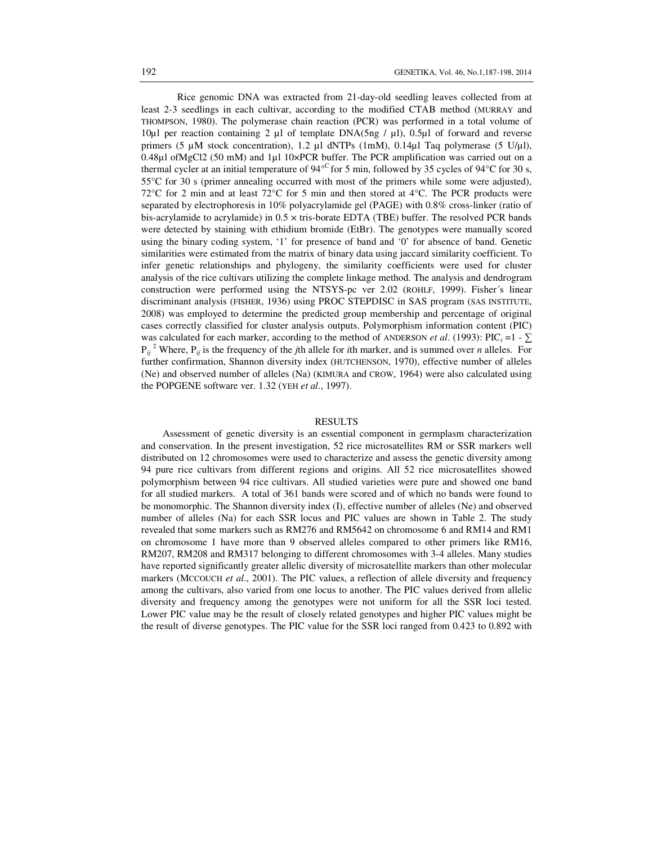Rice genomic DNA was extracted from 21-day-old seedling leaves collected from at least 2-3 seedlings in each cultivar, according to the modified CTAB method (MURRAY and THOMPSON, 1980). The polymerase chain reaction (PCR) was performed in a total volume of 10µl per reaction containing 2 µl of template DNA(5ng / µl), 0.5µl of forward and reverse primers (5  $\mu$ M stock concentration), 1.2  $\mu$ l dNTPs (1mM), 0.14 $\mu$ l Taq polymerase (5 U/ $\mu$ l), 0.48µl ofMgCl2 (50 mM) and 1µl 10×PCR buffer. The PCR amplification was carried out on a thermal cycler at an initial temperature of  $94^{\circ}$  for 5 min, followed by 35 cycles of  $94^{\circ}$ C for 30 s, 55°C for 30 s (primer annealing occurred with most of the primers while some were adjusted), 72 $\degree$ C for 2 min and at least 72 $\degree$ C for 5 min and then stored at 4 $\degree$ C. The PCR products were separated by electrophoresis in 10% polyacrylamide gel (PAGE) with 0.8% cross-linker (ratio of bis-acrylamide to acrylamide) in  $0.5 \times$  tris-borate EDTA (TBE) buffer. The resolved PCR bands were detected by staining with ethidium bromide (EtBr). The genotypes were manually scored using the binary coding system, '1' for presence of band and '0' for absence of band. Genetic similarities were estimated from the matrix of binary data using jaccard similarity coefficient. To infer genetic relationships and phylogeny, the similarity coefficients were used for cluster analysis of the rice cultivars utilizing the complete linkage method. The analysis and dendrogram construction were performed using the NTSYS-pc ver 2.02 (ROHLF, 1999). Fisher´s linear discriminant analysis (FISHER, 1936) using PROC STEPDISC in SAS program (SAS INSTITUTE, 2008) was employed to determine the predicted group membership and percentage of original cases correctly classified for cluster analysis outputs. Polymorphism information content (PIC) was calculated for each marker, according to the method of ANDERSON *et al.* (1993): PIC<sub>*i*</sub> =1 -  $\sum$  $P_{ij}$ <sup>2</sup> Where,  $P_{ij}$  is the frequency of the *j*th allele for *i*th marker, and is summed over *n* alleles. For further confirmation, Shannon diversity index (HUTCHENSON, 1970), effective number of alleles (Ne) and observed number of alleles (Na) (KIMURA and CROW, 1964) were also calculated using the POPGENE software ver. 1.32 (YEH *et al*., 1997).

### RESULTS

Assessment of genetic diversity is an essential component in germplasm characterization and conservation. In the present investigation, 52 rice microsatellites RM or SSR markers well distributed on 12 chromosomes were used to characterize and assess the genetic diversity among 94 pure rice cultivars from different regions and origins. All 52 rice microsatellites showed polymorphism between 94 rice cultivars. All studied varieties were pure and showed one band for all studied markers. A total of 361 bands were scored and of which no bands were found to be monomorphic. The Shannon diversity index (I), effective number of alleles (Ne) and observed number of alleles (Na) for each SSR locus and PIC values are shown in Table 2. The study revealed that some markers such as RM276 and RM5642 on chromosome 6 and RM14 and RM1 on chromosome 1 have more than 9 observed alleles compared to other primers like RM16, RM207, RM208 and RM317 belonging to different chromosomes with 3-4 alleles. Many studies have reported significantly greater allelic diversity of microsatellite markers than other molecular markers (MCCOUCH *et al*., 2001). The PIC values, a reflection of allele diversity and frequency among the cultivars, also varied from one locus to another. The PIC values derived from allelic diversity and frequency among the genotypes were not uniform for all the SSR loci tested. Lower PIC value may be the result of closely related genotypes and higher PIC values might be the result of diverse genotypes. The PIC value for the SSR loci ranged from 0.423 to 0.892 with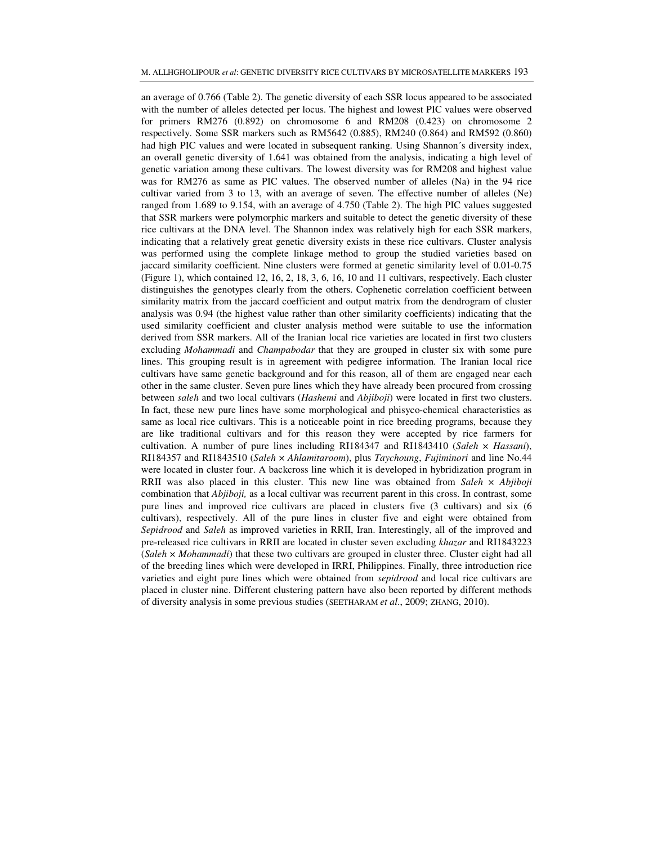an average of 0.766 (Table 2). The genetic diversity of each SSR locus appeared to be associated with the number of alleles detected per locus. The highest and lowest PIC values were observed for primers RM276 (0.892) on chromosome 6 and RM208 (0.423) on chromosome 2 respectively. Some SSR markers such as RM5642 (0.885), RM240 (0.864) and RM592 (0.860) had high PIC values and were located in subsequent ranking. Using Shannon´s diversity index, an overall genetic diversity of 1.641 was obtained from the analysis, indicating a high level of genetic variation among these cultivars. The lowest diversity was for RM208 and highest value was for RM276 as same as PIC values. The observed number of alleles (Na) in the 94 rice cultivar varied from 3 to 13, with an average of seven. The effective number of alleles (Ne) ranged from 1.689 to 9.154, with an average of 4.750 (Table 2). The high PIC values suggested that SSR markers were polymorphic markers and suitable to detect the genetic diversity of these rice cultivars at the DNA level. The Shannon index was relatively high for each SSR markers, indicating that a relatively great genetic diversity exists in these rice cultivars. Cluster analysis was performed using the complete linkage method to group the studied varieties based on jaccard similarity coefficient. Nine clusters were formed at genetic similarity level of 0.01-0.75 (Figure 1), which contained 12, 16, 2, 18, 3, 6, 16, 10 and 11 cultivars, respectively. Each cluster distinguishes the genotypes clearly from the others. Cophenetic correlation coefficient between similarity matrix from the jaccard coefficient and output matrix from the dendrogram of cluster analysis was 0.94 (the highest value rather than other similarity coefficients) indicating that the used similarity coefficient and cluster analysis method were suitable to use the information derived from SSR markers. All of the Iranian local rice varieties are located in first two clusters excluding *Mohammadi* and *Champabodar* that they are grouped in cluster six with some pure lines. This grouping result is in agreement with pedigree information. The Iranian local rice cultivars have same genetic background and for this reason, all of them are engaged near each other in the same cluster. Seven pure lines which they have already been procured from crossing between *saleh* and two local cultivars (*Hashemi* and *Abjiboji*) were located in first two clusters. In fact, these new pure lines have some morphological and phisyco-chemical characteristics as same as local rice cultivars. This is a noticeable point in rice breeding programs, because they are like traditional cultivars and for this reason they were accepted by rice farmers for cultivation. A number of pure lines including RI184347 and RI1843410 (*Saleh* × *Hassani*), RI184357 and RI1843510 (*Saleh* × *Ahlamitaroom*), plus *Taychoung*, *Fujiminori* and line No.44 were located in cluster four. A backcross line which it is developed in hybridization program in RRII was also placed in this cluster. This new line was obtained from *Saleh* × *Abjiboji*  combination that *Abjiboji,* as a local cultivar was recurrent parent in this cross. In contrast, some pure lines and improved rice cultivars are placed in clusters five (3 cultivars) and six (6 cultivars), respectively. All of the pure lines in cluster five and eight were obtained from *Sepidrood* and *Saleh* as improved varieties in RRII, Iran. Interestingly, all of the improved and pre-released rice cultivars in RRII are located in cluster seven excluding *khazar* and RI1843223 (*Saleh* × *Mohammadi*) that these two cultivars are grouped in cluster three. Cluster eight had all of the breeding lines which were developed in IRRI, Philippines. Finally, three introduction rice varieties and eight pure lines which were obtained from *sepidrood* and local rice cultivars are placed in cluster nine. Different clustering pattern have also been reported by different methods of diversity analysis in some previous studies (SEETHARAM *et al*., 2009; ZHANG, 2010).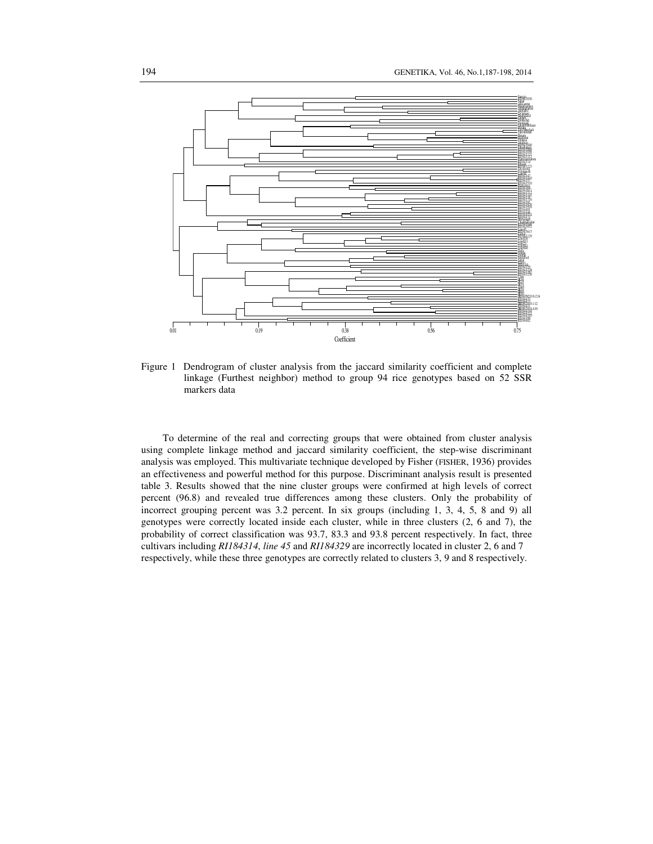

Figure 1 Dendrogram of cluster analysis from the jaccard similarity coefficient and complete linkage (Furthest neighbor) method to group 94 rice genotypes based on 52 SSR markers data

To determine of the real and correcting groups that were obtained from cluster analysis using complete linkage method and jaccard similarity coefficient, the step-wise discriminant analysis was employed. This multivariate technique developed by Fisher (FISHER, 1936) provides an effectiveness and powerful method for this purpose. Discriminant analysis result is presented table 3. Results showed that the nine cluster groups were confirmed at high levels of correct percent (96.8) and revealed true differences among these clusters. Only the probability of incorrect grouping percent was 3.2 percent. In six groups (including 1, 3, 4, 5, 8 and 9) all genotypes were correctly located inside each cluster, while in three clusters (2, 6 and 7), the probability of correct classification was 93.7, 83.3 and 93.8 percent respectively. In fact, three cultivars including *RI184314*, *line 45* and *RI184329* are incorrectly located in cluster 2, 6 and 7 respectively, while these three genotypes are correctly related to clusters 3, 9 and 8 respectively.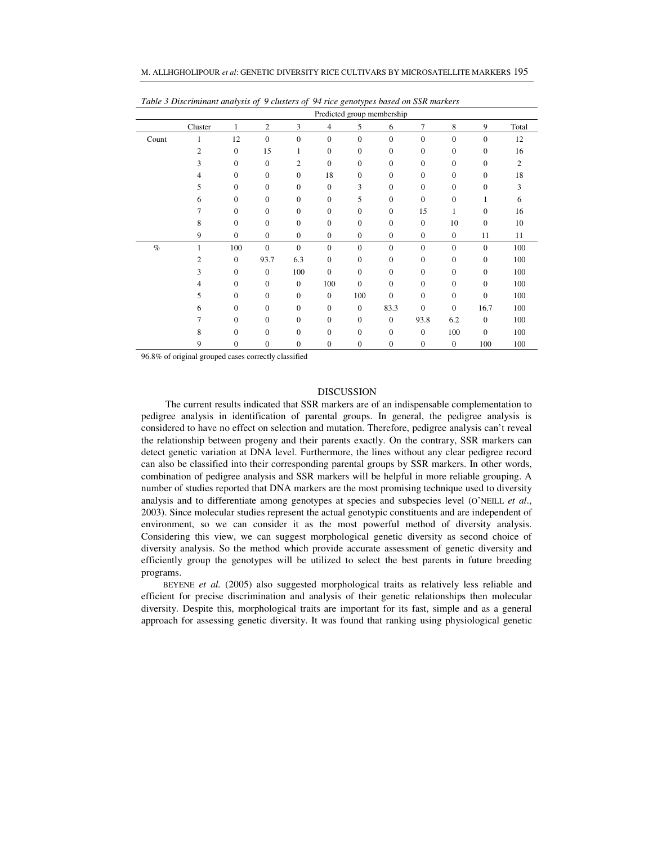|  | M. ALLHGHOLIPOUR <i>et al</i> : GENETIC DIVERSITY RICE CULTIVARS BY MICROSATELLITE MARKERS 195 |
|--|------------------------------------------------------------------------------------------------|
|--|------------------------------------------------------------------------------------------------|

|       | Predicted group membership |                  |                  |                  |                |              |              |              |              |              |                |
|-------|----------------------------|------------------|------------------|------------------|----------------|--------------|--------------|--------------|--------------|--------------|----------------|
|       | Cluster                    | 1                | $\overline{c}$   | 3                | $\overline{4}$ | 5            | 6            | 7            | 8            | 9            | Total          |
| Count | 1                          | 12               | $\mathbf{0}$     | $\mathbf{0}$     | $\mathbf{0}$   | $\mathbf{0}$ | $\mathbf{0}$ | $\mathbf{0}$ | $\Omega$     | $\Omega$     | 12             |
|       | 2                          | $\mathbf{0}$     | 15               | 1                | $\mathbf{0}$   | $\mathbf{0}$ | $\mathbf{0}$ | $\mathbf{0}$ | $\mathbf{0}$ | $\Omega$     | 16             |
|       | 3                          | $\mathbf{0}$     | $\boldsymbol{0}$ | $\overline{c}$   | $\mathbf{0}$   | $\mathbf{0}$ | $\mathbf{0}$ | $\mathbf{0}$ | $\mathbf{0}$ | $\mathbf{0}$ | 2              |
|       | $\overline{4}$             | $\mathbf{0}$     | $\boldsymbol{0}$ | $\boldsymbol{0}$ | 18             | $\mathbf{0}$ | $\mathbf{0}$ | $\mathbf{0}$ | $\mathbf{0}$ | $\mathbf{0}$ | 18             |
|       | 5                          | $\mathbf{0}$     | $\mathbf{0}$     | $\mathbf{0}$     | $\mathbf{0}$   | 3            | $\mathbf{0}$ | $\mathbf{0}$ | $\Omega$     | $\Omega$     | $\overline{3}$ |
|       | 6                          | $\mathbf{0}$     | $\mathbf{0}$     | $\mathbf{0}$     | $\mathbf{0}$   | 5            | $\mathbf{0}$ | $\Omega$     | $\theta$     | 1            | 6              |
|       | 7                          | $\boldsymbol{0}$ | $\boldsymbol{0}$ | $\boldsymbol{0}$ | $\mathbf{0}$   | $\mathbf{0}$ | $\mathbf{0}$ | 15           | 1            | $\Omega$     | 16             |
|       | 8                          | $\mathbf{0}$     | $\mathbf{0}$     | $\mathbf{0}$     | $\mathbf{0}$   | $\mathbf{0}$ | $\mathbf{0}$ | $\mathbf{0}$ | 10           | $\Omega$     | 10             |
|       | 9                          | $\mathbf{0}$     | $\boldsymbol{0}$ | $\boldsymbol{0}$ | $\mathbf{0}$   | $\mathbf{0}$ | $\mathbf{0}$ | $\mathbf{0}$ | $\mathbf{0}$ | 11           | 11             |
| $\%$  | 1                          | 100              | $\mathbf{0}$     | $\mathbf{0}$     | $\mathbf{0}$   | $\mathbf{0}$ | $\mathbf{0}$ | $\mathbf{0}$ | $\mathbf{0}$ | $\mathbf{0}$ | 100            |
|       | $\mathfrak{D}$             | $\mathbf{0}$     | 93.7             | 6.3              | $\mathbf{0}$   | $\mathbf{0}$ | $\mathbf{0}$ | $\mathbf{0}$ | $\Omega$     | $\Omega$     | 100            |
|       | 3                          | $\mathbf{0}$     | $\mathbf{0}$     | 100              | $\mathbf{0}$   | $\mathbf{0}$ | $\mathbf{0}$ | $\Omega$     | $\mathbf{0}$ | $\Omega$     | 100            |
|       | 4                          | $\mathbf{0}$     | $\boldsymbol{0}$ | $\boldsymbol{0}$ | 100            | $\mathbf{0}$ | $\mathbf{0}$ | $\mathbf{0}$ | $\mathbf{0}$ | $\mathbf{0}$ | 100            |
|       | 5                          | $\overline{0}$   | $\mathbf{0}$     | $\mathbf{0}$     | $\mathbf{0}$   | 100          | $\mathbf{0}$ | $\mathbf{0}$ | $\mathbf{0}$ | $\Omega$     | 100            |
|       | 6                          | $\mathbf{0}$     | $\mathbf{0}$     | $\mathbf{0}$     | $\mathbf{0}$   | $\mathbf{0}$ | 83.3         | $\mathbf{0}$ | $\mathbf{0}$ | 16.7         | 100            |
|       | 7                          | $\mathbf{0}$     | $\boldsymbol{0}$ | $\boldsymbol{0}$ | $\mathbf{0}$   | $\mathbf{0}$ | $\mathbf{0}$ | 93.8         | 6.2          | $\mathbf{0}$ | 100            |
|       | 8                          | $\mathbf{0}$     | $\mathbf{0}$     | $\mathbf{0}$     | $\Omega$       | $\mathbf{0}$ | $\mathbf{0}$ | $\mathbf{0}$ | 100          | $\Omega$     | 100            |
|       | 9                          | $\mathbf{0}$     | $\overline{0}$   | $\mathbf{0}$     | $\mathbf{0}$   | $\mathbf{0}$ | $\mathbf{0}$ | $\mathbf{0}$ | $\mathbf{0}$ | 100          | 100            |

*Table 3 Discriminant analysis of 9 clusters of 94 rice genotypes based on SSR markers* 

96.8% of original grouped cases correctly classified

## DISCUSSION

 The current results indicated that SSR markers are of an indispensable complementation to pedigree analysis in identification of parental groups. In general, the pedigree analysis is considered to have no effect on selection and mutation. Therefore, pedigree analysis can't reveal the relationship between progeny and their parents exactly. On the contrary, SSR markers can detect genetic variation at DNA level. Furthermore, the lines without any clear pedigree record can also be classified into their corresponding parental groups by SSR markers. In other words, combination of pedigree analysis and SSR markers will be helpful in more reliable grouping. A number of studies reported that DNA markers are the most promising technique used to diversity analysis and to differentiate among genotypes at species and subspecies level (O'NEILL *et al*., 2003). Since molecular studies represent the actual genotypic constituents and are independent of environment, so we can consider it as the most powerful method of diversity analysis. Considering this view, we can suggest morphological genetic diversity as second choice of diversity analysis. So the method which provide accurate assessment of genetic diversity and efficiently group the genotypes will be utilized to select the best parents in future breeding programs.

BEYENE *et al.* (2005) also suggested morphological traits as relatively less reliable and efficient for precise discrimination and analysis of their genetic relationships then molecular diversity. Despite this, morphological traits are important for its fast, simple and as a general approach for assessing genetic diversity. It was found that ranking using physiological genetic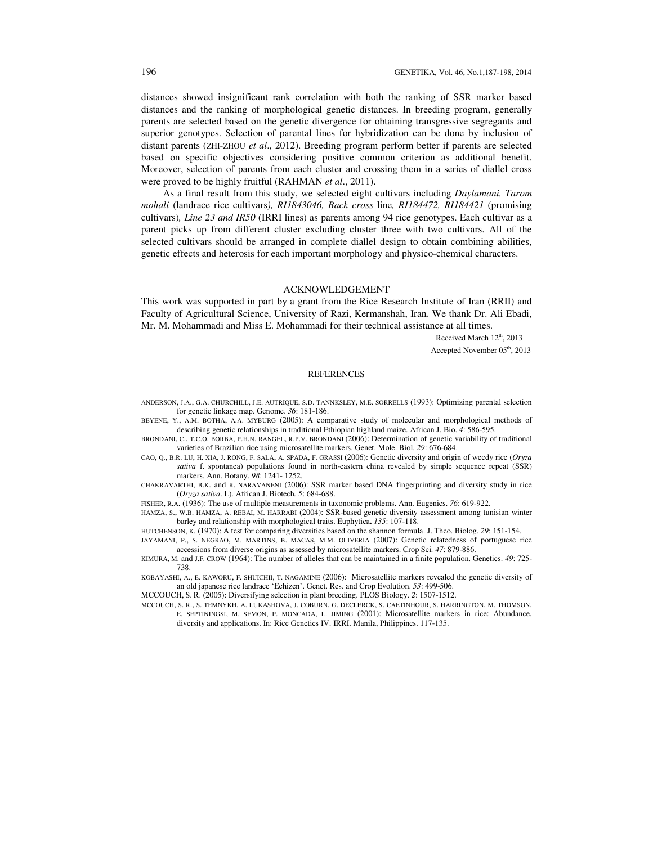distances showed insignificant rank correlation with both the ranking of SSR marker based distances and the ranking of morphological genetic distances. In breeding program, generally parents are selected based on the genetic divergence for obtaining transgressive segregants and superior genotypes. Selection of parental lines for hybridization can be done by inclusion of distant parents (ZHI-ZHOU *et al*., 2012). Breeding program perform better if parents are selected based on specific objectives considering positive common criterion as additional benefit. Moreover, selection of parents from each cluster and crossing them in a series of diallel cross were proved to be highly fruitful (RAHMAN *et al*., 2011).

As a final result from this study, we selected eight cultivars including *Daylamani, Tarom mohali* (landrace rice cultivars*), RI1843046, Back cross* line*, RI184472, RI184421* (promising cultivars)*, Line 23 and IR50* (IRRI lines) as parents among 94 rice genotypes. Each cultivar as a parent picks up from different cluster excluding cluster three with two cultivars. All of the selected cultivars should be arranged in complete diallel design to obtain combining abilities, genetic effects and heterosis for each important morphology and physico-chemical characters.

#### ACKNOWLEDGEMENT

This work was supported in part by a grant from the Rice Research Institute of Iran (RRII) and Faculty of Agricultural Science, University of Razi, Kermanshah, Iran*.* We thank Dr. Ali Ebadi, Mr. M. Mohammadi and Miss E. Mohammadi for their technical assistance at all times.

> Received March  $12<sup>th</sup>$ , 2013 Accepted November 05<sup>th</sup>, 2013

### **REFERENCES**

ANDERSON, J.A., G.A. CHURCHILL, J.E. AUTRIQUE, S.D. TANNKSLEY, M.E. SORRELLS (1993): Optimizing parental selection for genetic linkage map. Genome. *36*: 181-186.

BEYENE, Y., A.M. BOTHA, A.A. MYBURG (2005): A comparative study of molecular and morphological methods of describing genetic relationships in traditional Ethiopian highland maize. African J. Bio. *4*: 586-595.

BRONDANI, C., T.C.O. BORBA, P.H.N. RANGEL, R.P.V. BRONDANI (2006): Determination of genetic variability of traditional varieties of Brazilian rice using microsatellite markers. Genet. Mole. Biol. *29*: 676-684.

CAO, Q., B.R. LU, H. XIA, J. RONG, F. SALA, A. SPADA, F. GRASSI (2006): Genetic diversity and origin of weedy rice (*Oryza sativa* f. spontanea) populations found in north-eastern china revealed by simple sequence repeat (SSR) markers. Ann. Botany. *98*: 1241- 1252.

CHAKRAVARTHI, B.K. and R. NARAVANENI (2006): SSR marker based DNA fingerprinting and diversity study in rice (*Oryza sativa*. L). African J. Biotech*. 5*: 684-688.

FISHER, R.A. (1936): The use of multiple measurements in taxonomic problems. Ann. Eugenics. *76*: 619-922.

HAMZA, S., W.B. HAMZA, A. REBAI, M. HARRABI (2004): SSR-based genetic diversity assessment among tunisian winter barley and relationship with morphological traits. Euphytica**.** *135*: 107-118.

HUTCHENSON, K. (1970): A test for comparing diversities based on the shannon formula. J. Theo. Biolog. *29*: 151-154. JAYAMANI, P., S. NEGRAO, M. MARTINS, B. MACAS, M.M. OLIVERIA (2007): Genetic relatedness of portuguese rice

accessions from diverse origins as assessed by microsatellite markers. Crop Sci*. 47*: 879-886. KIMURA, M. and J.F. CROW (1964): The number of alleles that can be maintained in a finite population. Genetics. *49*: 725-

738.

KOBAYASHI, A., E. KAWORU, F. SHUICHII, T. NAGAMINE (2006): Microsatellite markers revealed the genetic diversity of an old japanese rice landrace 'Echizen'. Genet. Res. and Crop Evolution. *53*: 499-506.

MCCOUCH, S. R. (2005): Diversifying selection in plant breeding. PLOS Biology. *2*: 1507-1512.

MCCOUCH, S. R., S. TEMNYKH, A. LUKASHOVA, J. COBURN, G. DECLERCK, S. CAETINHOUR, S. HARRINGTON, M. THOMSON, E. SEPTININGSI, M. SEMON, P. MONCADA, L. JIMING (2001): Microsatellite markers in rice: Abundance, diversity and applications. In: Rice Genetics IV. IRRI. Manila, Philippines. 117-135.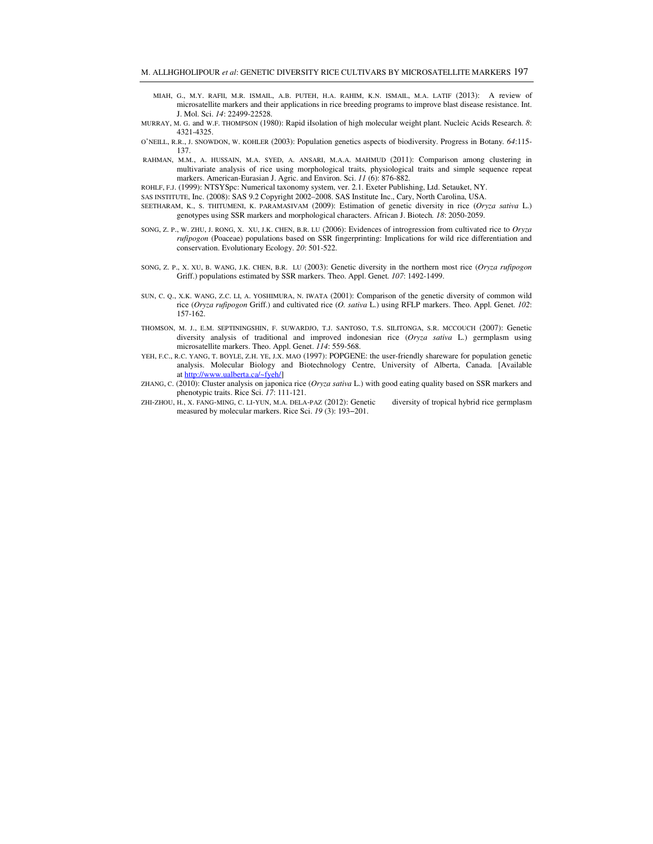- MIAH, G., M.Y. RAFII, M.R. ISMAIL, A.B. PUTEH, H.A. RAHIM, K.N. ISMAIL, M.A. LATIF (2013): A review of microsatellite markers and their applications in rice breeding programs to improve blast disease resistance. Int. J. Mol. Sci. *14*: 22499-22528.
- MURRAY, M. G. and W.F. THOMPSON (1980): Rapid iIsolation of high molecular weight plant. Nucleic Acids Research. *8*: 4321-4325.
- O'NEILL, R.R., J. SNOWDON, W. KOHLER (2003): Population genetics aspects of biodiversity. Progress in Botany*. 64*:115- 137.
- RAHMAN, M.M., A. HUSSAIN, M.A. SYED, A. ANSARI, M.A.A. MAHMUD (2011): Comparison among clustering in multivariate analysis of rice using morphological traits, physiological traits and simple sequence repeat markers. American-Eurasian J. Agric. and Environ. Sci. *11* (6): 876-882.
- ROHLF, F.J. (1999): NTSYSpc: Numerical taxonomy system, ver. 2.1. Exeter Publishing, Ltd. Setauket, NY.
- SAS INSTITUTE, Inc. (2008): SAS 9.2 Copyright 2002–2008. SAS Institute Inc., Cary, North Carolina, USA.
- SEETHARAM, K., S. THITUMENI, K. PARAMASIVAM (2009): Estimation of genetic diversity in rice (*Oryza sativa* L.) genotypes using SSR markers and morphological characters. African J. Biotech*. 18*: 2050-2059.
- SONG, Z. P., W. ZHU, J. RONG, X. XU, J.K. CHEN, B.R. LU (2006): Evidences of introgression from cultivated rice to *Oryza rufipogon* (Poaceae) populations based on SSR fingerprinting: Implications for wild rice differentiation and conservation. Evolutionary Ecology. *20*: 501-522.
- SONG, Z. P., X. XU, B. WANG, J.K. CHEN, B.R. LU (2003): Genetic diversity in the northern most rice (*Oryza rufipogon* Griff.) populations estimated by SSR markers. Theo. Appl. Genet*. 107*: 1492-1499.
- SUN, C. Q., X.K. WANG, Z.C. LI, A. YOSHIMURA, N. IWATA (2001): Comparison of the genetic diversity of common wild rice (*Oryza rufipogon* Griff.) and cultivated rice (*O. sativa* L.) using RFLP markers. Theo. Appl. Genet*. 102*: 157-162.
- THOMSON, M. J., E.M. SEPTININGSHIN, F. SUWARDJO, T.J. SANTOSO, T.S. SILITONGA, S.R. MCCOUCH (2007): Genetic diversity analysis of traditional and improved indonesian rice (*Oryza sativa* L.) germplasm using microsatellite markers. Theo. Appl. Genet. *114*: 559-568.
- YEH, F.C., R.C. YANG, T. BOYLE, Z.H. YE, J.X. MAO (1997): POPGENE: the user-friendly shareware for population genetic analysis. Molecular Biology and Biotechnology Centre, University of Alberta, Canada. [Available at http://www.ualberta.ca/~fyeh/]
- ZHANG, C. (2010): Cluster analysis on japonica rice (*Oryza sativa* L.) with good eating quality based on SSR markers and phenotypic traits. Rice Sci. *17*: 111-121.
- ZHI-ZHOU, H., X. FANG-MING, C. LI-YUN, M.A. DELA-PAZ (2012): Genetic diversity of tropical hybrid rice germplasm measured by molecular markers. Rice Sci. *19* (3): 193−201.